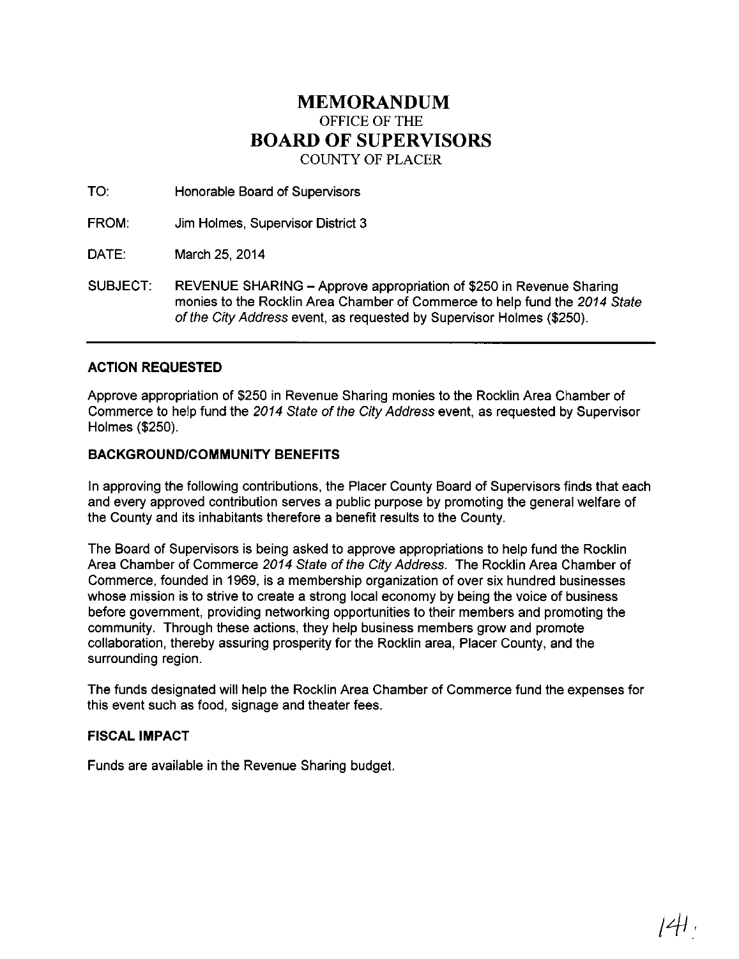## **MEMORANDUM**  OFFICE OF THE **BOARD OF SUPERVISORS**  COUNTY OF PLACER

TO: Honorable Board of Supervisors

FROM: Jim Holmes, Supervisor District 3

DATE: March 25, 2014

SUBJECT: REVENUE SHARING- Approve appropriation of \$250 in Revenue Sharing monies to the Rocklin Area Chamber of Commerce to help fund the 2014 State of the City Address event, as requested by Supervisor Holmes (\$250).

## **ACTION REQUESTED**

Approve appropriation of \$250 in Revenue Sharing monies to the Rocklin Area Chamber of Commerce to help fund the 2014 State of the City Address event, as requested by Supervisor Holmes (\$250).

## **BACKGROUND/COMMUNITY BENEFITS**

In approving the following contributions, the Placer County Board of Supervisors finds that each and every approved contribution serves a public purpose by promoting the general welfare of the County and its inhabitants therefore a benefit results to the County.

The Board of Supervisors is being asked to approve appropriations to help fund the Rocklin Area Chamber of Commerce 2014 State of the City Address. The Rocklin Area Chamber of Commerce, founded in 1969, is a membership organization of over six hundred businesses whose mission is to strive to create a strong local economy by being the voice of business before government, providing networking opportunities to their members and promoting the community. Through these actions, they help business members grow and promote collaboration, thereby assuring prosperity for the Rocklin area, Placer County, and the surrounding region.

The funds designated will help the Rocklin Area Chamber of Commerce fund the expenses for this event such as food, signage and theater fees.

## **FISCAL IMPACT**

Funds are available in the Revenue Sharing budget.